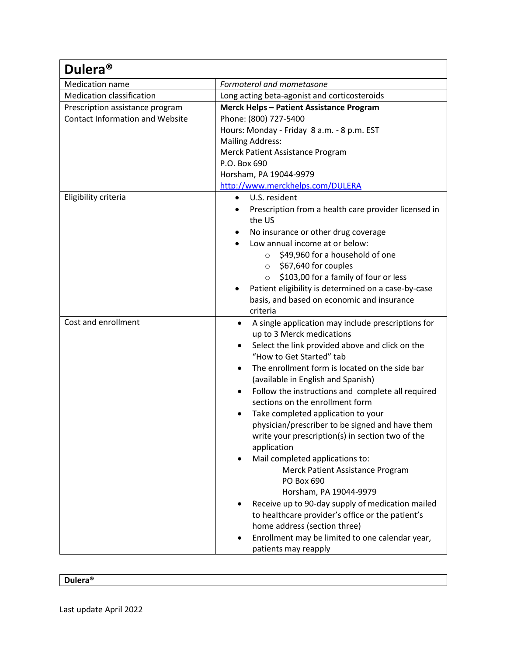| Dulera <sup>®</sup>                    |                                                                                                                                                                                                                                                                                                                                                                                                                                                                                                                                                                                                                                                                                                                                                                                                                                                                |  |  |
|----------------------------------------|----------------------------------------------------------------------------------------------------------------------------------------------------------------------------------------------------------------------------------------------------------------------------------------------------------------------------------------------------------------------------------------------------------------------------------------------------------------------------------------------------------------------------------------------------------------------------------------------------------------------------------------------------------------------------------------------------------------------------------------------------------------------------------------------------------------------------------------------------------------|--|--|
| Medication name                        | Formoterol and mometasone                                                                                                                                                                                                                                                                                                                                                                                                                                                                                                                                                                                                                                                                                                                                                                                                                                      |  |  |
| <b>Medication classification</b>       | Long acting beta-agonist and corticosteroids                                                                                                                                                                                                                                                                                                                                                                                                                                                                                                                                                                                                                                                                                                                                                                                                                   |  |  |
| Prescription assistance program        | <b>Merck Helps - Patient Assistance Program</b>                                                                                                                                                                                                                                                                                                                                                                                                                                                                                                                                                                                                                                                                                                                                                                                                                |  |  |
| <b>Contact Information and Website</b> | Phone: (800) 727-5400<br>Hours: Monday - Friday 8 a.m. - 8 p.m. EST<br><b>Mailing Address:</b><br>Merck Patient Assistance Program<br>P.O. Box 690<br>Horsham, PA 19044-9979<br>http://www.merckhelps.com/DULERA                                                                                                                                                                                                                                                                                                                                                                                                                                                                                                                                                                                                                                               |  |  |
| Eligibility criteria                   | U.S. resident<br>$\bullet$<br>Prescription from a health care provider licensed in<br>the US<br>No insurance or other drug coverage<br>Low annual income at or below:<br>\$49,960 for a household of one<br>$\circ$<br>$\circ$ \$67,640 for couples<br>\$103,00 for a family of four or less<br>$\circ$<br>Patient eligibility is determined on a case-by-case<br>basis, and based on economic and insurance<br>criteria                                                                                                                                                                                                                                                                                                                                                                                                                                       |  |  |
| Cost and enrollment                    | A single application may include prescriptions for<br>up to 3 Merck medications<br>Select the link provided above and click on the<br>٠<br>"How to Get Started" tab<br>The enrollment form is located on the side bar<br>$\bullet$<br>(available in English and Spanish)<br>Follow the instructions and complete all required<br>sections on the enrollment form<br>Take completed application to your<br>physician/prescriber to be signed and have them<br>write your prescription(s) in section two of the<br>application<br>Mail completed applications to:<br>Merck Patient Assistance Program<br>PO Box 690<br>Horsham, PA 19044-9979<br>Receive up to 90-day supply of medication mailed<br>to healthcare provider's office or the patient's<br>home address (section three)<br>Enrollment may be limited to one calendar year,<br>patients may reapply |  |  |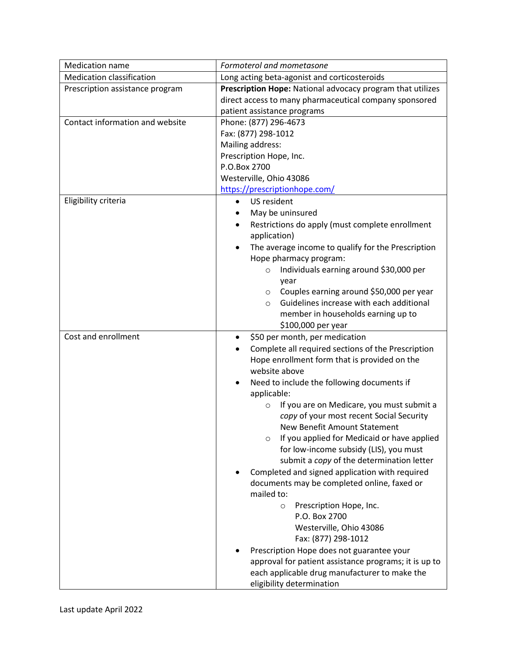| <b>Medication name</b>           | Formoterol and mometasone                                  |  |  |
|----------------------------------|------------------------------------------------------------|--|--|
| <b>Medication classification</b> | Long acting beta-agonist and corticosteroids               |  |  |
| Prescription assistance program  | Prescription Hope: National advocacy program that utilizes |  |  |
|                                  | direct access to many pharmaceutical company sponsored     |  |  |
|                                  | patient assistance programs                                |  |  |
| Contact information and website  | Phone: (877) 296-4673                                      |  |  |
|                                  | Fax: (877) 298-1012                                        |  |  |
|                                  | Mailing address:                                           |  |  |
|                                  | Prescription Hope, Inc.                                    |  |  |
|                                  | P.O.Box 2700                                               |  |  |
|                                  | Westerville, Ohio 43086                                    |  |  |
|                                  | https://prescriptionhope.com/                              |  |  |
| Eligibility criteria             | US resident<br>$\bullet$                                   |  |  |
|                                  | May be uninsured                                           |  |  |
|                                  | Restrictions do apply (must complete enrollment            |  |  |
|                                  | application)                                               |  |  |
|                                  | The average income to qualify for the Prescription         |  |  |
|                                  | Hope pharmacy program:                                     |  |  |
|                                  | Individuals earning around \$30,000 per<br>$\circ$         |  |  |
|                                  | year                                                       |  |  |
|                                  | Couples earning around \$50,000 per year<br>$\circ$        |  |  |
|                                  | Guidelines increase with each additional<br>$\circ$        |  |  |
|                                  | member in households earning up to                         |  |  |
|                                  | \$100,000 per year                                         |  |  |
| Cost and enrollment              | \$50 per month, per medication                             |  |  |
|                                  | Complete all required sections of the Prescription         |  |  |
|                                  | Hope enrollment form that is provided on the               |  |  |
|                                  | website above                                              |  |  |
|                                  | Need to include the following documents if                 |  |  |
|                                  | applicable:                                                |  |  |
|                                  | If you are on Medicare, you must submit a<br>$\circ$       |  |  |
|                                  | copy of your most recent Social Security                   |  |  |
|                                  | New Benefit Amount Statement                               |  |  |
|                                  | If you applied for Medicaid or have applied<br>$\circ$     |  |  |
|                                  | for low-income subsidy (LIS), you must                     |  |  |
|                                  | submit a copy of the determination letter                  |  |  |
|                                  | Completed and signed application with required             |  |  |
|                                  | documents may be completed online, faxed or                |  |  |
|                                  | mailed to:                                                 |  |  |
|                                  | Prescription Hope, Inc.<br>$\circ$                         |  |  |
|                                  | P.O. Box 2700                                              |  |  |
|                                  | Westerville, Ohio 43086                                    |  |  |
|                                  | Fax: (877) 298-1012                                        |  |  |
|                                  | Prescription Hope does not guarantee your                  |  |  |
|                                  | approval for patient assistance programs; it is up to      |  |  |
|                                  | each applicable drug manufacturer to make the              |  |  |
|                                  | eligibility determination                                  |  |  |